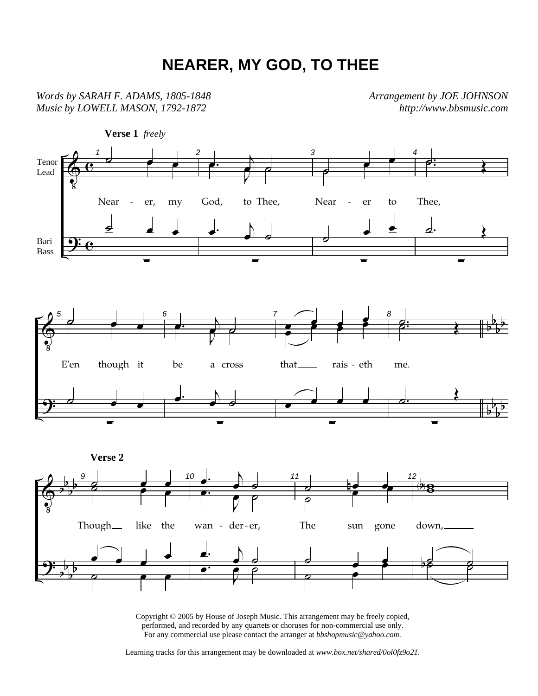## **NEARER, MY GOD, TO THEE**

*Words by SARAH F. ADAMS, 1805-1848 Music by LOWELL MASON, 1792-1872* 

*Arrangement by JOE JOHNSON http://www.bbsmusic.com*



Copyright © 2005 by House of Joseph Music. This arrangement may be freely copied, performed, and recorded by any quartets or choruses for non-commercial use only. For any commercial use please contact the arranger at *bbshopmusic@yahoo.com.*

Learning tracks for this arrangement may be downloaded at *www.box.net/shared/0ol0fz9o21.*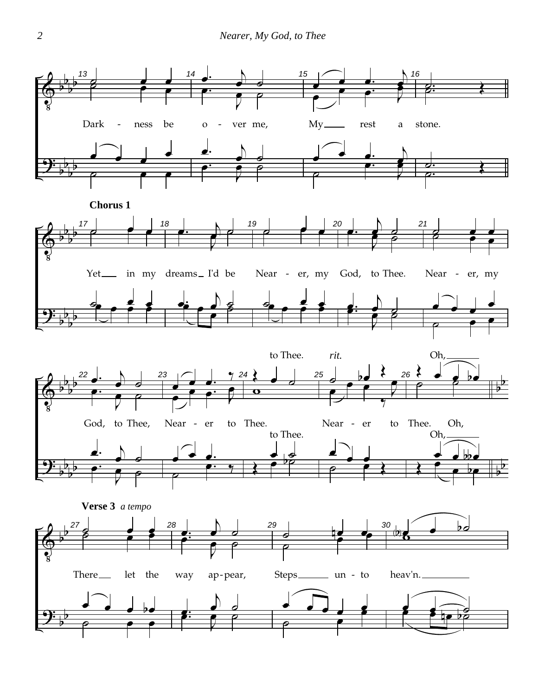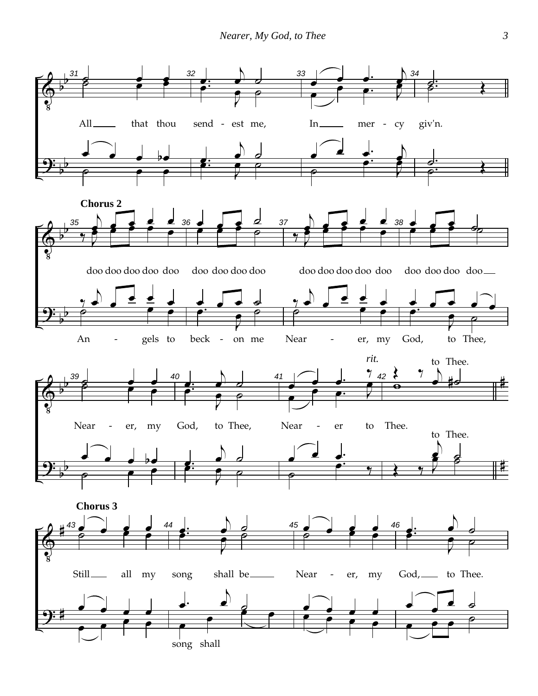